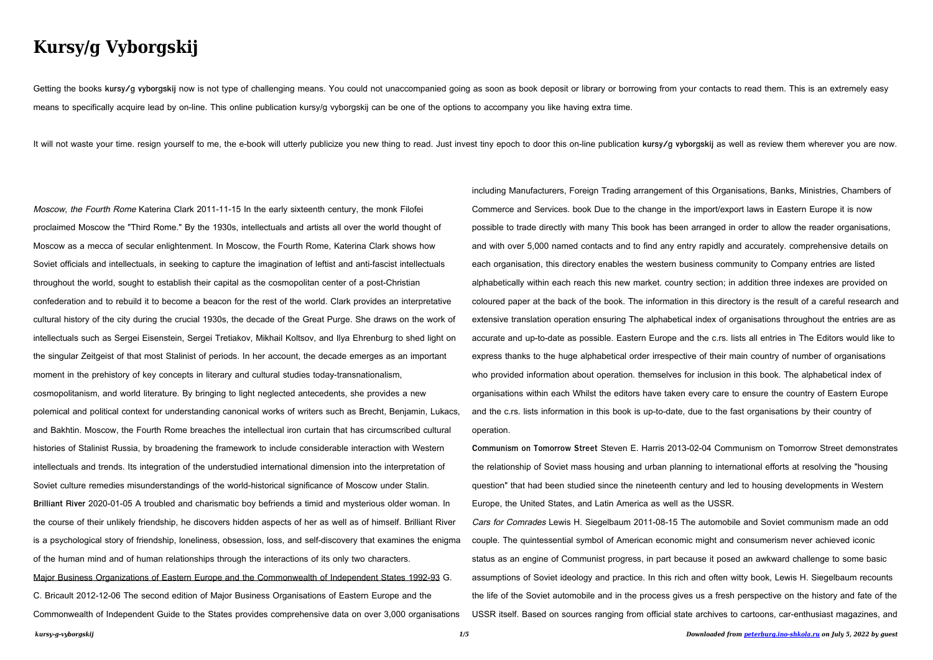## **Kursy/g Vyborgskij**

Getting the books kursy/g vyborgskij now is not type of challenging means. You could not unaccompanied going as soon as book deposit or library or borrowing from your contacts to read them. This is an extremely easy means to specifically acquire lead by on-line. This online publication kursy/g vyborgskij can be one of the options to accompany you like having extra time.

It will not waste your time, resign yourself to me, the e-book will utterly publicize you new thing to read. Just invest tiny epoch to door this on-line publication kursy/g vyborgskij as well as review them wherever you ar

Moscow, the Fourth Rome Katerina Clark 2011-11-15 In the early sixteenth century, the monk Filofei proclaimed Moscow the "Third Rome." By the 1930s, intellectuals and artists all over the world thought of Moscow as a mecca of secular enlightenment. In Moscow, the Fourth Rome, Katerina Clark shows how Soviet officials and intellectuals, in seeking to capture the imagination of leftist and anti-fascist intellectuals throughout the world, sought to establish their capital as the cosmopolitan center of a post-Christian confederation and to rebuild it to become a beacon for the rest of the world. Clark provides an interpretative cultural history of the city during the crucial 1930s, the decade of the Great Purge. She draws on the work of intellectuals such as Sergei Eisenstein, Sergei Tretiakov, Mikhail Koltsov, and Ilya Ehrenburg to shed light on the singular Zeitgeist of that most Stalinist of periods. In her account, the decade emerges as an important moment in the prehistory of key concepts in literary and cultural studies today-transnationalism, cosmopolitanism, and world literature. By bringing to light neglected antecedents, she provides a new polemical and political context for understanding canonical works of writers such as Brecht, Benjamin, Lukacs, and Bakhtin. Moscow, the Fourth Rome breaches the intellectual iron curtain that has circumscribed cultural histories of Stalinist Russia, by broadening the framework to include considerable interaction with Western intellectuals and trends. Its integration of the understudied international dimension into the interpretation of Soviet culture remedies misunderstandings of the world-historical significance of Moscow under Stalin. **Brilliant River** 2020-01-05 A troubled and charismatic boy befriends a timid and mysterious older woman. In the course of their unlikely friendship, he discovers hidden aspects of her as well as of himself. Brilliant River is a psychological story of friendship, loneliness, obsession, loss, and self-discovery that examines the enigma of the human mind and of human relationships through the interactions of its only two characters. Major Business Organizations of Eastern Europe and the Commonwealth of Independent States 1992-93 G. C. Bricault 2012-12-06 The second edition of Major Business Organisations of Eastern Europe and the

*kursy-g-vyborgskij 1/5 Downloaded from [peterburg.ino-shkola.ru](http://peterburg.ino-shkola.ru) on July 5, 2022 by guest* **Communism on Tomorrow Street** Steven E. Harris 2013-02-04 Communism on Tomorrow Street demonstrates the relationship of Soviet mass housing and urban planning to international efforts at resolving the "housing question" that had been studied since the nineteenth century and led to housing developments in Western Europe, the United States, and Latin America as well as the USSR. Cars for Comrades Lewis H. Siegelbaum 2011-08-15 The automobile and Soviet communism made an odd couple. The quintessential symbol of American economic might and consumerism never achieved iconic status as an engine of Communist progress, in part because it posed an awkward challenge to some basic assumptions of Soviet ideology and practice. In this rich and often witty book, Lewis H. Siegelbaum recounts the life of the Soviet automobile and in the process gives us a fresh perspective on the history and fate of the USSR itself. Based on sources ranging from official state archives to cartoons, car-enthusiast magazines, and

Commonwealth of Independent Guide to the States provides comprehensive data on over 3,000 organisations

including Manufacturers, Foreign Trading arrangement of this Organisations, Banks, Ministries, Chambers of Commerce and Services. book Due to the change in the import/export laws in Eastern Europe it is now possible to trade directly with many This book has been arranged in order to allow the reader organisations, and with over 5,000 named contacts and to find any entry rapidly and accurately. comprehensive details on each organisation, this directory enables the western business community to Company entries are listed alphabetically within each reach this new market. country section; in addition three indexes are provided on coloured paper at the back of the book. The information in this directory is the result of a careful research and extensive translation operation ensuring The alphabetical index of organisations throughout the entries are as accurate and up-to-date as possible. Eastern Europe and the c.rs. lists all entries in The Editors would like to express thanks to the huge alphabetical order irrespective of their main country of number of organisations who provided information about operation. themselves for inclusion in this book. The alphabetical index of organisations within each Whilst the editors have taken every care to ensure the country of Eastern Europe and the c.rs. lists information in this book is up-to-date, due to the fast organisations by their country of operation.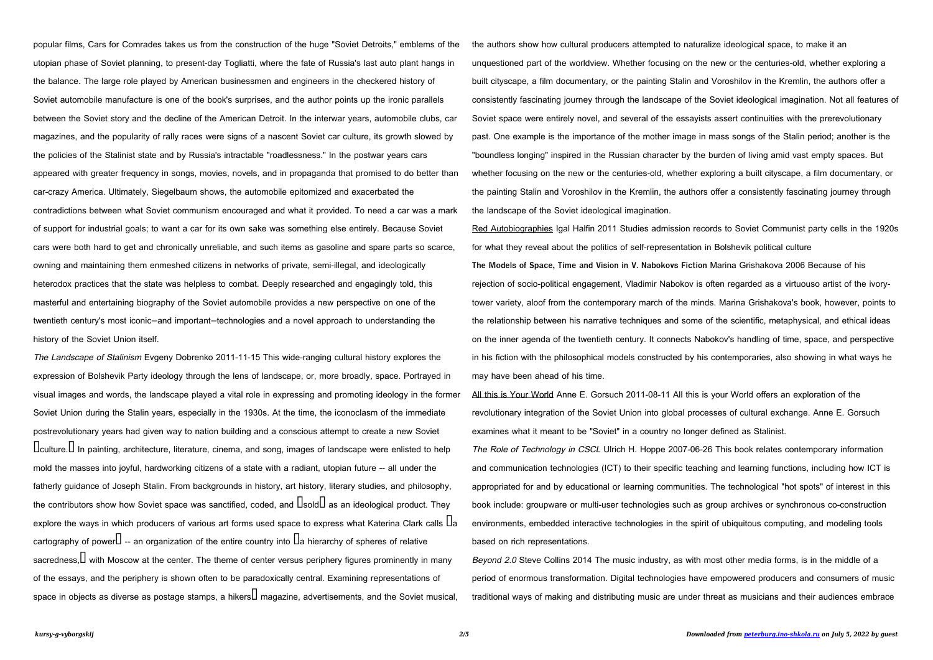The Landscape of Stalinism Evgeny Dobrenko 2011-11-15 This wide-ranging cultural history explores the expression of Bolshevik Party ideology through the lens of landscape, or, more broadly, space. Portrayed in visual images and words, the landscape played a vital role in expressing and promoting ideology in the former Soviet Union during the Stalin years, especially in the 1930s. At the time, the iconoclasm of the immediate postrevolutionary years had given way to nation building and a conscious attempt to create a new Soviet Uculture. U In painting, architecture, literature, cinema, and song, images of landscape were enlisted to help mold the masses into joyful, hardworking citizens of a state with a radiant, utopian future -- all under the fatherly guidance of Joseph Stalin. From backgrounds in history, art history, literary studies, and philosophy, the contributors show how Soviet space was sanctified, coded, and  $\text{L}$ sold $\text{L}$  as an ideological product. They explore the ways in which producers of various art forms used space to express what Katerina Clark calls  $\rm{La}$ cartography of power $\Box$  -- an organization of the entire country into  $\Box$  a hierarchy of spheres of relative sacredness,  $\Box$  with Moscow at the center. The theme of center versus periphery figures prominently in many of the essays, and the periphery is shown often to be paradoxically central. Examining representations of space in objects as diverse as postage stamps, a hikers  $\Box$  magazine, advertisements, and the Soviet musical,

popular films, Cars for Comrades takes us from the construction of the huge "Soviet Detroits," emblems of the utopian phase of Soviet planning, to present-day Togliatti, where the fate of Russia's last auto plant hangs in the balance. The large role played by American businessmen and engineers in the checkered history of Soviet automobile manufacture is one of the book's surprises, and the author points up the ironic parallels between the Soviet story and the decline of the American Detroit. In the interwar years, automobile clubs, car magazines, and the popularity of rally races were signs of a nascent Soviet car culture, its growth slowed by the policies of the Stalinist state and by Russia's intractable "roadlessness." In the postwar years cars appeared with greater frequency in songs, movies, novels, and in propaganda that promised to do better than car-crazy America. Ultimately, Siegelbaum shows, the automobile epitomized and exacerbated the contradictions between what Soviet communism encouraged and what it provided. To need a car was a mark of support for industrial goals; to want a car for its own sake was something else entirely. Because Soviet cars were both hard to get and chronically unreliable, and such items as gasoline and spare parts so scarce, owning and maintaining them enmeshed citizens in networks of private, semi-illegal, and ideologically heterodox practices that the state was helpless to combat. Deeply researched and engagingly told, this masterful and entertaining biography of the Soviet automobile provides a new perspective on one of the twentieth century's most iconic—and important—technologies and a novel approach to understanding the history of the Soviet Union itself.

> Beyond 2.0 Steve Collins 2014 The music industry, as with most other media forms, is in the middle of a period of enormous transformation. Digital technologies have empowered producers and consumers of music traditional ways of making and distributing music are under threat as musicians and their audiences embrace

the authors show how cultural producers attempted to naturalize ideological space, to make it an unquestioned part of the worldview. Whether focusing on the new or the centuries-old, whether exploring a built cityscape, a film documentary, or the painting Stalin and Voroshilov in the Kremlin, the authors offer a consistently fascinating journey through the landscape of the Soviet ideological imagination. Not all features of Soviet space were entirely novel, and several of the essayists assert continuities with the prerevolutionary past. One example is the importance of the mother image in mass songs of the Stalin period; another is the "boundless longing" inspired in the Russian character by the burden of living amid vast empty spaces. But whether focusing on the new or the centuries-old, whether exploring a built cityscape, a film documentary, or the painting Stalin and Voroshilov in the Kremlin, the authors offer a consistently fascinating journey through the landscape of the Soviet ideological imagination.

Red Autobiographies Igal Halfin 2011 Studies admission records to Soviet Communist party cells in the 1920s for what they reveal about the politics of self-representation in Bolshevik political culture **The Models of Space, Time and Vision in V. Nabokovs Fiction** Marina Grishakova 2006 Because of his rejection of socio-political engagement, Vladimir Nabokov is often regarded as a virtuouso artist of the ivorytower variety, aloof from the contemporary march of the minds. Marina Grishakova's book, however, points to the relationship between his narrative techniques and some of the scientific, metaphysical, and ethical ideas on the inner agenda of the twentieth century. It connects Nabokov's handling of time, space, and perspective in his fiction with the philosophical models constructed by his contemporaries, also showing in what ways he may have been ahead of his time.

All this is Your World Anne E. Gorsuch 2011-08-11 All this is your World offers an exploration of the revolutionary integration of the Soviet Union into global processes of cultural exchange. Anne E. Gorsuch examines what it meant to be "Soviet" in a country no longer defined as Stalinist. The Role of Technology in CSCL Ulrich H. Hoppe 2007-06-26 This book relates contemporary information and communication technologies (ICT) to their specific teaching and learning functions, including how ICT is appropriated for and by educational or learning communities. The technological "hot spots" of interest in this book include: groupware or multi-user technologies such as group archives or synchronous co-construction environments, embedded interactive technologies in the spirit of ubiquitous computing, and modeling tools based on rich representations.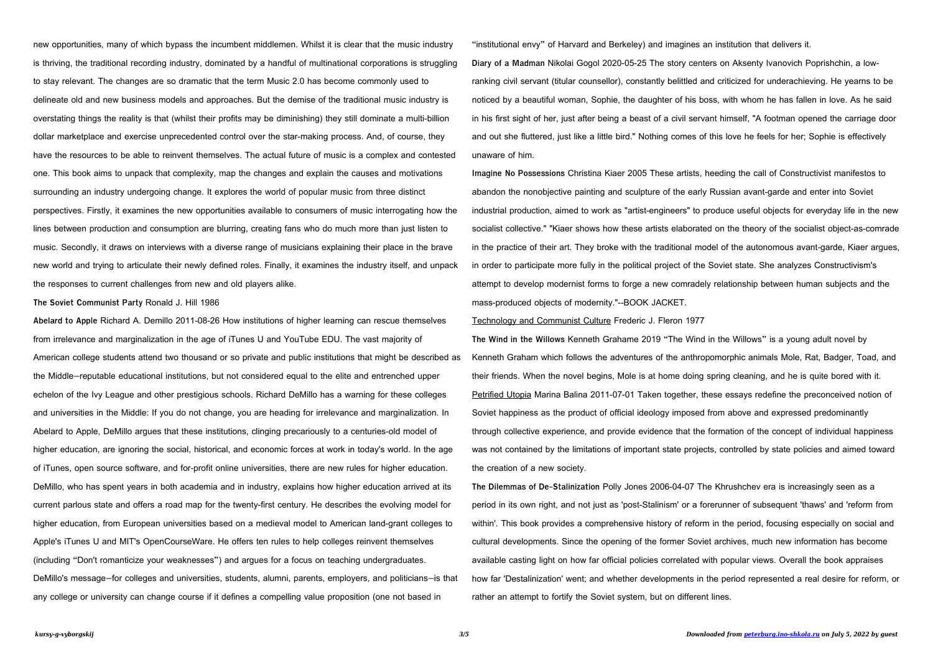new opportunities, many of which bypass the incumbent middlemen. Whilst it is clear that the music industry is thriving, the traditional recording industry, dominated by a handful of multinational corporations is struggling to stay relevant. The changes are so dramatic that the term Music 2.0 has become commonly used to delineate old and new business models and approaches. But the demise of the traditional music industry is overstating things the reality is that (whilst their profits may be diminishing) they still dominate a multi-billion dollar marketplace and exercise unprecedented control over the star-making process. And, of course, they have the resources to be able to reinvent themselves. The actual future of music is a complex and contested one. This book aims to unpack that complexity, map the changes and explain the causes and motivations surrounding an industry undergoing change. It explores the world of popular music from three distinct perspectives. Firstly, it examines the new opportunities available to consumers of music interrogating how the lines between production and consumption are blurring, creating fans who do much more than just listen to music. Secondly, it draws on interviews with a diverse range of musicians explaining their place in the brave new world and trying to articulate their newly defined roles. Finally, it examines the industry itself, and unpack the responses to current challenges from new and old players alike.

**The Soviet Communist Party** Ronald J. Hill 1986

**Abelard to Apple** Richard A. Demillo 2011-08-26 How institutions of higher learning can rescue themselves from irrelevance and marginalization in the age of iTunes U and YouTube EDU. The vast majority of American college students attend two thousand or so private and public institutions that might be described as the Middle—reputable educational institutions, but not considered equal to the elite and entrenched upper echelon of the Ivy League and other prestigious schools. Richard DeMillo has a warning for these colleges and universities in the Middle: If you do not change, you are heading for irrelevance and marginalization. In Abelard to Apple, DeMillo argues that these institutions, clinging precariously to a centuries-old model of higher education, are ignoring the social, historical, and economic forces at work in today's world. In the age of iTunes, open source software, and for-profit online universities, there are new rules for higher education. DeMillo, who has spent years in both academia and in industry, explains how higher education arrived at its current parlous state and offers a road map for the twenty-first century. He describes the evolving model for higher education, from European universities based on a medieval model to American land-grant colleges to Apple's iTunes U and MIT's OpenCourseWare. He offers ten rules to help colleges reinvent themselves (including "Don't romanticize your weaknesses") and argues for a focus on teaching undergraduates. DeMillo's message—for colleges and universities, students, alumni, parents, employers, and politicians—is that any college or university can change course if it defines a compelling value proposition (one not based in

"institutional envy" of Harvard and Berkeley) and imagines an institution that delivers it. **Diary of a Madman** Nikolai Gogol 2020-05-25 The story centers on Aksenty Ivanovich Poprishchin, a lowranking civil servant (titular counsellor), constantly belittled and criticized for underachieving. He yearns to be noticed by a beautiful woman, Sophie, the daughter of his boss, with whom he has fallen in love. As he said in his first sight of her, just after being a beast of a civil servant himself, "A footman opened the carriage door and out she fluttered, just like a little bird." Nothing comes of this love he feels for her; Sophie is effectively unaware of him.

**Imagine No Possessions** Christina Kiaer 2005 These artists, heeding the call of Constructivist manifestos to abandon the nonobjective painting and sculpture of the early Russian avant-garde and enter into Soviet industrial production, aimed to work as "artist-engineers" to produce useful objects for everyday life in the new socialist collective." "Kiaer shows how these artists elaborated on the theory of the socialist object-as-comrade in the practice of their art. They broke with the traditional model of the autonomous avant-garde, Kiaer argues, in order to participate more fully in the political project of the Soviet state. She analyzes Constructivism's attempt to develop modernist forms to forge a new comradely relationship between human subjects and the mass-produced objects of modernity."--BOOK JACKET.

Technology and Communist Culture Frederic J. Fleron 1977 **The Wind in the Willows** Kenneth Grahame 2019 "The Wind in the Willows" is a young adult novel by Kenneth Graham which follows the adventures of the anthropomorphic animals Mole, Rat, Badger, Toad, and their friends. When the novel begins, Mole is at home doing spring cleaning, and he is quite bored with it. Petrified Utopia Marina Balina 2011-07-01 Taken together, these essays redefine the preconceived notion of Soviet happiness as the product of official ideology imposed from above and expressed predominantly through collective experience, and provide evidence that the formation of the concept of individual happiness was not contained by the limitations of important state projects, controlled by state policies and aimed toward the creation of a new society.

**The Dilemmas of De-Stalinization** Polly Jones 2006-04-07 The Khrushchev era is increasingly seen as a period in its own right, and not just as 'post-Stalinism' or a forerunner of subsequent 'thaws' and 'reform from within'. This book provides a comprehensive history of reform in the period, focusing especially on social and cultural developments. Since the opening of the former Soviet archives, much new information has become available casting light on how far official policies correlated with popular views. Overall the book appraises how far 'Destalinization' went; and whether developments in the period represented a real desire for reform, or rather an attempt to fortify the Soviet system, but on different lines.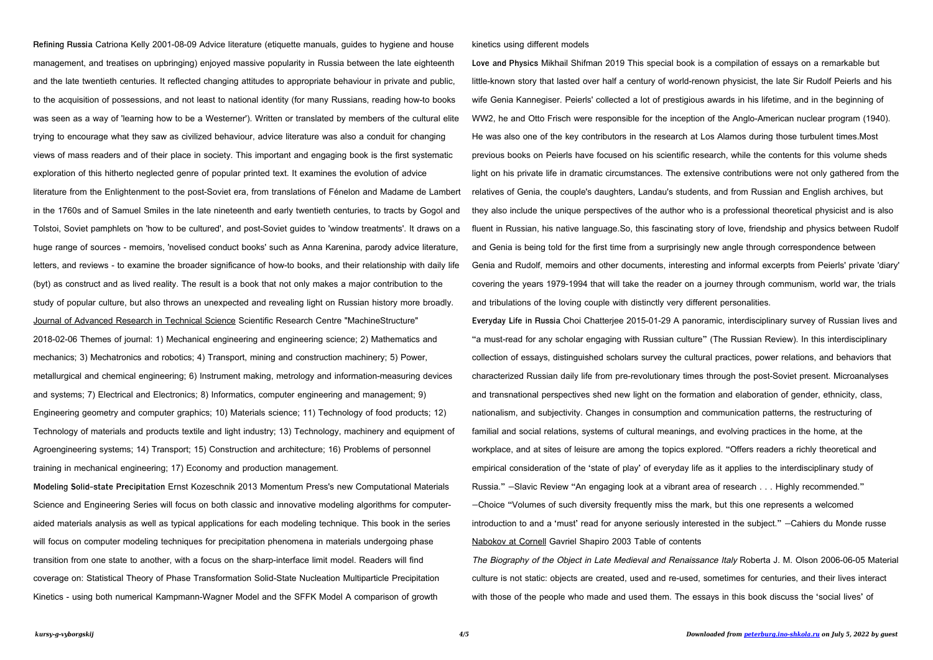**Refining Russia** Catriona Kelly 2001-08-09 Advice literature (etiquette manuals, guides to hygiene and house management, and treatises on upbringing) enjoyed massive popularity in Russia between the late eighteenth and the late twentieth centuries. It reflected changing attitudes to appropriate behaviour in private and public, to the acquisition of possessions, and not least to national identity (for many Russians, reading how-to books was seen as a way of 'learning how to be a Westerner'). Written or translated by members of the cultural elite trying to encourage what they saw as civilized behaviour, advice literature was also a conduit for changing views of mass readers and of their place in society. This important and engaging book is the first systematic exploration of this hitherto neglected genre of popular printed text. It examines the evolution of advice literature from the Enlightenment to the post-Soviet era, from translations of Fénelon and Madame de Lambert in the 1760s and of Samuel Smiles in the late nineteenth and early twentieth centuries, to tracts by Gogol and Tolstoi, Soviet pamphlets on 'how to be cultured', and post-Soviet guides to 'window treatments'. It draws on a huge range of sources - memoirs, 'novelised conduct books' such as Anna Karenina, parody advice literature, letters, and reviews - to examine the broader significance of how-to books, and their relationship with daily life (byt) as construct and as lived reality. The result is a book that not only makes a major contribution to the study of popular culture, but also throws an unexpected and revealing light on Russian history more broadly. Journal of Advanced Research in Technical Science Scientific Research Centre "MachineStructure" 2018-02-06 Themes of journal: 1) Mechanical engineering and engineering science; 2) Mathematics and mechanics; 3) Mechatronics and robotics; 4) Transport, mining and construction machinery; 5) Power, metallurgical and chemical engineering; 6) Instrument making, metrology and information-measuring devices and systems; 7) Electrical and Electronics; 8) Informatics, computer engineering and management; 9) Engineering geometry and computer graphics; 10) Materials science; 11) Technology of food products; 12) Technology of materials and products textile and light industry; 13) Technology, machinery and equipment of Agroengineering systems; 14) Transport; 15) Construction and architecture; 16) Problems of personnel training in mechanical engineering; 17) Economy and production management.

**Modeling Solid-state Precipitation** Ernst Kozeschnik 2013 Momentum Press's new Computational Materials Science and Engineering Series will focus on both classic and innovative modeling algorithms for computeraided materials analysis as well as typical applications for each modeling technique. This book in the series will focus on computer modeling techniques for precipitation phenomena in materials undergoing phase transition from one state to another, with a focus on the sharp-interface limit model. Readers will find coverage on: Statistical Theory of Phase Transformation Solid-State Nucleation Multiparticle Precipitation Kinetics - using both numerical Kampmann-Wagner Model and the SFFK Model A comparison of growth

## kinetics using different models

**Love and Physics** Mikhail Shifman 2019 This special book is a compilation of essays on a remarkable but little-known story that lasted over half a century of world-renown physicist, the late Sir Rudolf Peierls and his wife Genia Kannegiser. Peierls' collected a lot of prestigious awards in his lifetime, and in the beginning of WW2, he and Otto Frisch were responsible for the inception of the Anglo-American nuclear program (1940). He was also one of the key contributors in the research at Los Alamos during those turbulent times.Most previous books on Peierls have focused on his scientific research, while the contents for this volume sheds light on his private life in dramatic circumstances. The extensive contributions were not only gathered from the relatives of Genia, the couple's daughters, Landau's students, and from Russian and English archives, but they also include the unique perspectives of the author who is a professional theoretical physicist and is also fluent in Russian, his native language.So, this fascinating story of love, friendship and physics between Rudolf and Genia is being told for the first time from a surprisingly new angle through correspondence between Genia and Rudolf, memoirs and other documents, interesting and informal excerpts from Peierls' private 'diary' covering the years 1979-1994 that will take the reader on a journey through communism, world war, the trials and tribulations of the loving couple with distinctly very different personalities. **Everyday Life in Russia** Choi Chatterjee 2015-01-29 A panoramic, interdisciplinary survey of Russian lives and "a must-read for any scholar engaging with Russian culture" (The Russian Review). In this interdisciplinary collection of essays, distinguished scholars survey the cultural practices, power relations, and behaviors that characterized Russian daily life from pre-revolutionary times through the post-Soviet present. Microanalyses and transnational perspectives shed new light on the formation and elaboration of gender, ethnicity, class, nationalism, and subjectivity. Changes in consumption and communication patterns, the restructuring of familial and social relations, systems of cultural meanings, and evolving practices in the home, at the workplace, and at sites of leisure are among the topics explored. "Offers readers a richly theoretical and empirical consideration of the 'state of play' of everyday life as it applies to the interdisciplinary study of Russia." —Slavic Review "An engaging look at a vibrant area of research . . . Highly recommended." —Choice "Volumes of such diversity frequently miss the mark, but this one represents a welcomed introduction to and a 'must' read for anyone seriously interested in the subject." —Cahiers du Monde russe Nabokov at Cornell Gavriel Shapiro 2003 Table of contents The Biography of the Object in Late Medieval and Renaissance Italy Roberta J. M. Olson 2006-06-05 Material culture is not static: objects are created, used and re-used, sometimes for centuries, and their lives interact with those of the people who made and used them. The essays in this book discuss the 'social lives' of